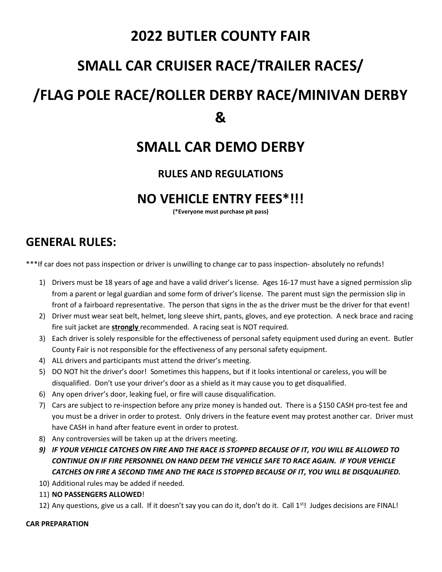## 2022 BUTLER COUNTY FAIR

## SMALL CAR CRUISER RACE/TRAILER RACES/

# /FLAG POLE RACE/ROLLER DERBY RACE/MINIVAN DERBY &

## SMALL CAR DEMO DERBY

### RULES AND REGULATIONS

### NO VEHICLE ENTRY FEES\*!!!

(\*Everyone must purchase pit pass)

### GENERAL RULES:

\*\*\*If car does not pass inspection or driver is unwilling to change car to pass inspection- absolutely no refunds!

- 1) Drivers must be 18 years of age and have a valid driver's license. Ages 16-17 must have a signed permission slip from a parent or legal guardian and some form of driver's license. The parent must sign the permission slip in front of a fairboard representative. The person that signs in the as the driver must be the driver for that event!
- 2) Driver must wear seat belt, helmet, long sleeve shirt, pants, gloves, and eye protection. A neck brace and racing fire suit jacket are strongly recommended. A racing seat is NOT required.
- 3) Each driver is solely responsible for the effectiveness of personal safety equipment used during an event. Butler County Fair is not responsible for the effectiveness of any personal safety equipment.
- 4) ALL drivers and participants must attend the driver's meeting.
- 5) DO NOT hit the driver's door! Sometimes this happens, but if it looks intentional or careless, you will be disqualified. Don't use your driver's door as a shield as it may cause you to get disqualified.
- 6) Any open driver's door, leaking fuel, or fire will cause disqualification.
- 7) Cars are subject to re-inspection before any prize money is handed out. There is a \$150 CASH pro-test fee and you must be a driver in order to protest. Only drivers in the feature event may protest another car. Driver must have CASH in hand after feature event in order to protest.
- 8) Any controversies will be taken up at the drivers meeting.
- 9) IF YOUR VEHICLE CATCHES ON FIRE AND THE RACE IS STOPPED BECAUSE OF IT, YOU WILL BE ALLOWED TO CONTINUE ON IF FIRE PERSONNEL ON HAND DEEM THE VEHICLE SAFE TO RACE AGAIN. IF YOUR VEHICLE CATCHES ON FIRE A SECOND TIME AND THE RACE IS STOPPED BECAUSE OF IT, YOU WILL BE DISQUALIFIED.
- 10) Additional rules may be added if needed.
- 11) NO PASSENGERS ALLOWED!
- 12) Any questions, give us a call. If it doesn't say you can do it, don't do it. Call  $1^{st}$ ! Judges decisions are FINAL!

#### CAR PREPARATION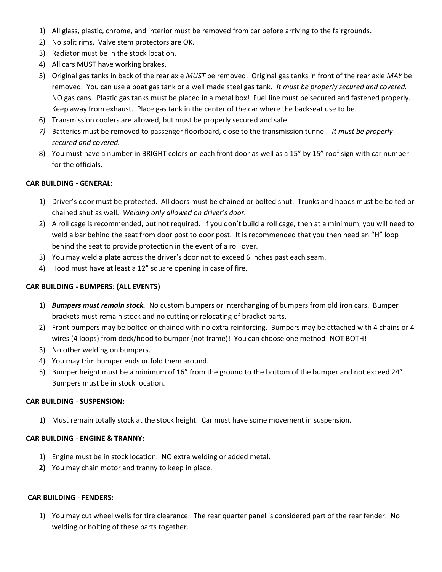- 1) All glass, plastic, chrome, and interior must be removed from car before arriving to the fairgrounds.
- 2) No split rims. Valve stem protectors are OK.
- 3) Radiator must be in the stock location.
- 4) All cars MUST have working brakes.
- 5) Original gas tanks in back of the rear axle MUST be removed. Original gas tanks in front of the rear axle MAY be removed. You can use a boat gas tank or a well made steel gas tank. It must be properly secured and covered. NO gas cans. Plastic gas tanks must be placed in a metal box! Fuel line must be secured and fastened properly. Keep away from exhaust. Place gas tank in the center of the car where the backseat use to be.
- 6) Transmission coolers are allowed, but must be properly secured and safe.
- 7) Batteries must be removed to passenger floorboard, close to the transmission tunnel. It must be properly secured and covered.
- 8) You must have a number in BRIGHT colors on each front door as well as a 15" by 15" roof sign with car number for the officials.

#### CAR BUILDING - GENERAL:

- 1) Driver's door must be protected. All doors must be chained or bolted shut. Trunks and hoods must be bolted or chained shut as well. Welding only allowed on driver's door.
- 2) A roll cage is recommended, but not required. If you don't build a roll cage, then at a minimum, you will need to weld a bar behind the seat from door post to door post. It is recommended that you then need an "H" loop behind the seat to provide protection in the event of a roll over.
- 3) You may weld a plate across the driver's door not to exceed 6 inches past each seam.
- 4) Hood must have at least a 12" square opening in case of fire.

#### CAR BUILDING - BUMPERS: (ALL EVENTS)

- 1) Bumpers must remain stock. No custom bumpers or interchanging of bumpers from old iron cars. Bumper brackets must remain stock and no cutting or relocating of bracket parts.
- 2) Front bumpers may be bolted or chained with no extra reinforcing. Bumpers may be attached with 4 chains or 4 wires (4 loops) from deck/hood to bumper (not frame)! You can choose one method- NOT BOTH!
- 3) No other welding on bumpers.
- 4) You may trim bumper ends or fold them around.
- 5) Bumper height must be a minimum of 16" from the ground to the bottom of the bumper and not exceed 24". Bumpers must be in stock location.

#### CAR BUILDING - SUSPENSION:

1) Must remain totally stock at the stock height. Car must have some movement in suspension.

#### CAR BUILDING - ENGINE & TRANNY:

- 1) Engine must be in stock location. NO extra welding or added metal.
- 2) You may chain motor and tranny to keep in place.

#### CAR BUILDING - FENDERS:

1) You may cut wheel wells for tire clearance. The rear quarter panel is considered part of the rear fender. No welding or bolting of these parts together.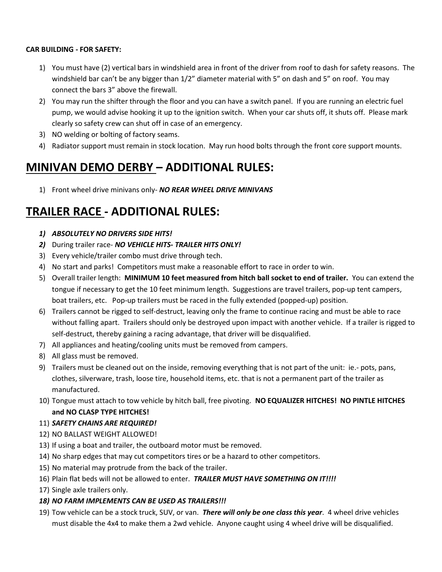#### CAR BUILDING - FOR SAFETY:

- 1) You must have (2) vertical bars in windshield area in front of the driver from roof to dash for safety reasons. The windshield bar can't be any bigger than  $1/2$ " diameter material with 5" on dash and 5" on roof. You may connect the bars 3" above the firewall.
- 2) You may run the shifter through the floor and you can have a switch panel. If you are running an electric fuel pump, we would advise hooking it up to the ignition switch. When your car shuts off, it shuts off. Please mark clearly so safety crew can shut off in case of an emergency.
- 3) NO welding or bolting of factory seams.
- 4) Radiator support must remain in stock location. May run hood bolts through the front core support mounts.

## MINIVAN DEMO DERBY – ADDITIONAL RULES:

1) Front wheel drive minivans only- NO REAR WHEEL DRIVE MINIVANS

## TRAILER RACE - ADDITIONAL RULES:

#### 1) ABSOLUTELY NO DRIVERS SIDE HITS!

- 2) During trailer race- NO VEHICLE HITS- TRAILER HITS ONLY!
- 3) Every vehicle/trailer combo must drive through tech.
- 4) No start and parks! Competitors must make a reasonable effort to race in order to win.
- 5) Overall trailer length: MINIMUM 10 feet measured from hitch ball socket to end of trailer. You can extend the tongue if necessary to get the 10 feet minimum length. Suggestions are travel trailers, pop-up tent campers, boat trailers, etc. Pop-up trailers must be raced in the fully extended (popped-up) position.
- 6) Trailers cannot be rigged to self-destruct, leaving only the frame to continue racing and must be able to race without falling apart. Trailers should only be destroyed upon impact with another vehicle. If a trailer is rigged to self-destruct, thereby gaining a racing advantage, that driver will be disqualified.
- 7) All appliances and heating/cooling units must be removed from campers.
- 8) All glass must be removed.
- 9) Trailers must be cleaned out on the inside, removing everything that is not part of the unit: ie.- pots, pans, clothes, silverware, trash, loose tire, household items, etc. that is not a permanent part of the trailer as manufactured.
- 10) Tongue must attach to tow vehicle by hitch ball, free pivoting. NO EQUALIZER HITCHES! NO PINTLE HITCHES and NO CLASP TYPE HITCHES!

#### 11) SAFETY CHAINS ARE REQUIRED!

- 12) NO BALLAST WEIGHT ALLOWED!
- 13) If using a boat and trailer, the outboard motor must be removed.
- 14) No sharp edges that may cut competitors tires or be a hazard to other competitors.
- 15) No material may protrude from the back of the trailer.
- 16) Plain flat beds will not be allowed to enter. TRAILER MUST HAVE SOMETHING ON IT!!!!
- 17) Single axle trailers only.
- 18) NO FARM IMPLEMENTS CAN BE USED AS TRAILERS!!!
- 19) Tow vehicle can be a stock truck, SUV, or van. There will only be one class this year. 4 wheel drive vehicles must disable the 4x4 to make them a 2wd vehicle. Anyone caught using 4 wheel drive will be disqualified.